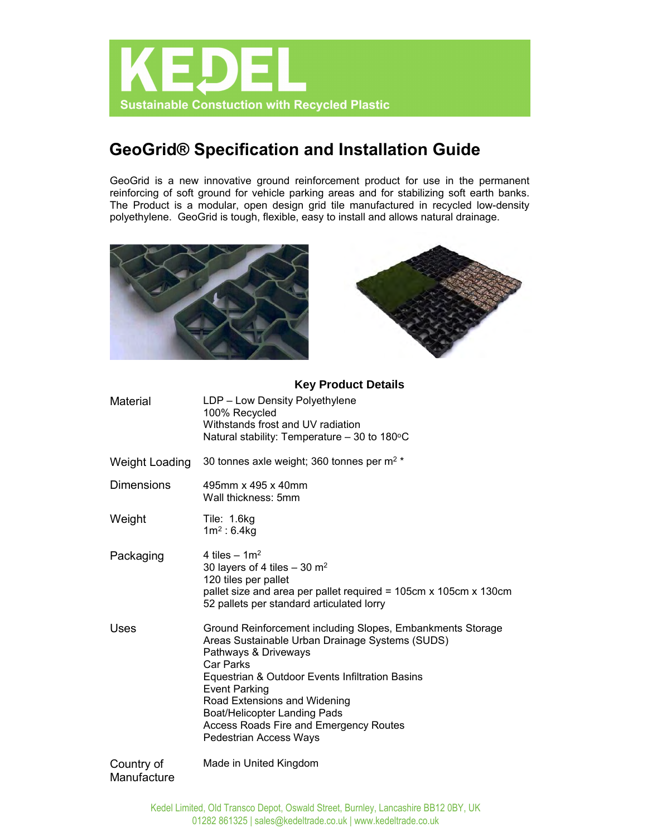

# **GeoGrid® Specification and Installation Guide**

GeoGrid is a new innovative ground reinforcement product for use in the permanent reinforcing of soft ground for vehicle parking areas and for stabilizing soft earth banks. The Product is a modular, open design grid tile manufactured in recycled low-density polyethylene. GeoGrid is tough, flexible, easy to install and allows natural drainage.





## **Key Product Details**

| <b>Material</b>       | LDP - Low Density Polyethylene<br>100% Recycled<br>Withstands frost and UV radiation<br>Natural stability: Temperature - 30 to 180°C                                                                                                                                                                                                                                            |
|-----------------------|---------------------------------------------------------------------------------------------------------------------------------------------------------------------------------------------------------------------------------------------------------------------------------------------------------------------------------------------------------------------------------|
| <b>Weight Loading</b> | 30 tonnes axle weight; 360 tonnes per m <sup>2</sup> *                                                                                                                                                                                                                                                                                                                          |
| <b>Dimensions</b>     | 495mm x 495 x 40mm<br>Wall thickness: 5mm                                                                                                                                                                                                                                                                                                                                       |
| Weight                | Tile: 1.6kg<br>$1m^2: 6.4kg$                                                                                                                                                                                                                                                                                                                                                    |
| Packaging             | 4 tiles $- 1m^2$<br>30 layers of 4 tiles $-$ 30 m <sup>2</sup><br>120 tiles per pallet<br>pallet size and area per pallet required = 105cm x 105cm x 130cm<br>52 pallets per standard articulated lorry                                                                                                                                                                         |
| Uses                  | Ground Reinforcement including Slopes, Embankments Storage<br>Areas Sustainable Urban Drainage Systems (SUDS)<br>Pathways & Driveways<br><b>Car Parks</b><br>Equestrian & Outdoor Events Infiltration Basins<br><b>Event Parking</b><br>Road Extensions and Widening<br>Boat/Helicopter Landing Pads<br>Access Roads Fire and Emergency Routes<br><b>Pedestrian Access Ways</b> |
| Country of            | Made in United Kingdom                                                                                                                                                                                                                                                                                                                                                          |

## **Manufacture**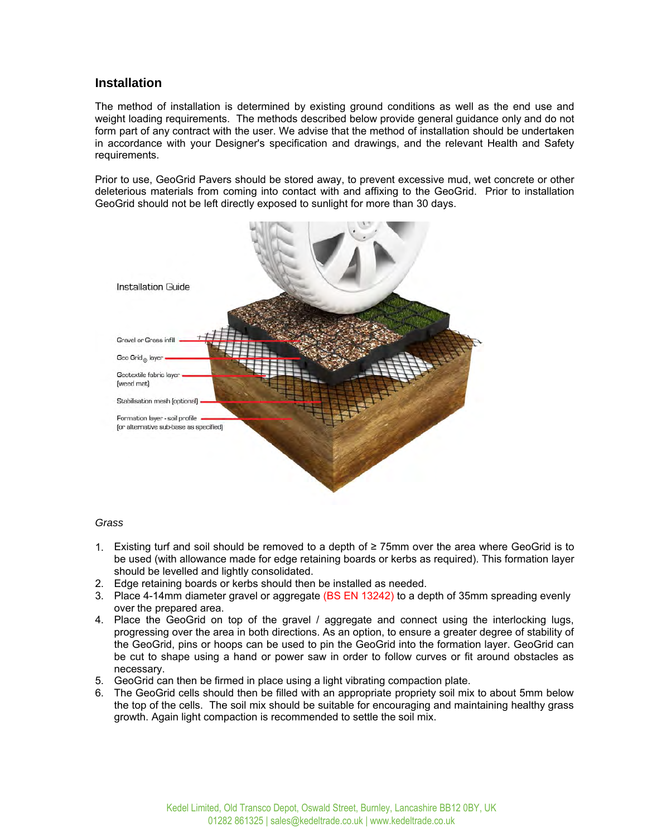## **Installation**

The method of installation is determined by existing ground conditions as well as the end use and weight loading requirements. The methods described below provide general guidance only and do not form part of any contract with the user. We advise that the method of installation should be undertaken in accordance with your Designer's specification and drawings, and the relevant Health and Safety requirements.

Prior to use, GeoGrid Pavers should be stored away, to prevent excessive mud, wet concrete or other deleterious materials from coming into contact with and affixing to the GeoGrid. Prior to installation GeoGrid should not be left directly exposed to sunlight for more than 30 days.



### *Grass*

- 1. Existing turf and soil should be removed to a depth of ≥ 75mm over the area where GeoGrid is to be used (with allowance made for edge retaining boards or kerbs as required). This formation layer should be levelled and lightly consolidated.
- 2. Edge retaining boards or kerbs should then be installed as needed.
- 3. Place 4-14mm diameter gravel or aggregate (BS EN 13242) to a depth of 35mm spreading evenly over the prepared area.
- 4. Place the GeoGrid on top of the gravel / aggregate and connect using the interlocking lugs, progressing over the area in both directions. As an option, to ensure a greater degree of stability of the GeoGrid, pins or hoops can be used to pin the GeoGrid into the formation layer. GeoGrid can be cut to shape using a hand or power saw in order to follow curves or fit around obstacles as necessary.
- 5. GeoGrid can then be firmed in place using a light vibrating compaction plate.
- 6. The GeoGrid cells should then be filled with an appropriate propriety soil mix to about 5mm below the top of the cells. The soil mix should be suitable for encouraging and maintaining healthy grass growth. Again light compaction is recommended to settle the soil mix.